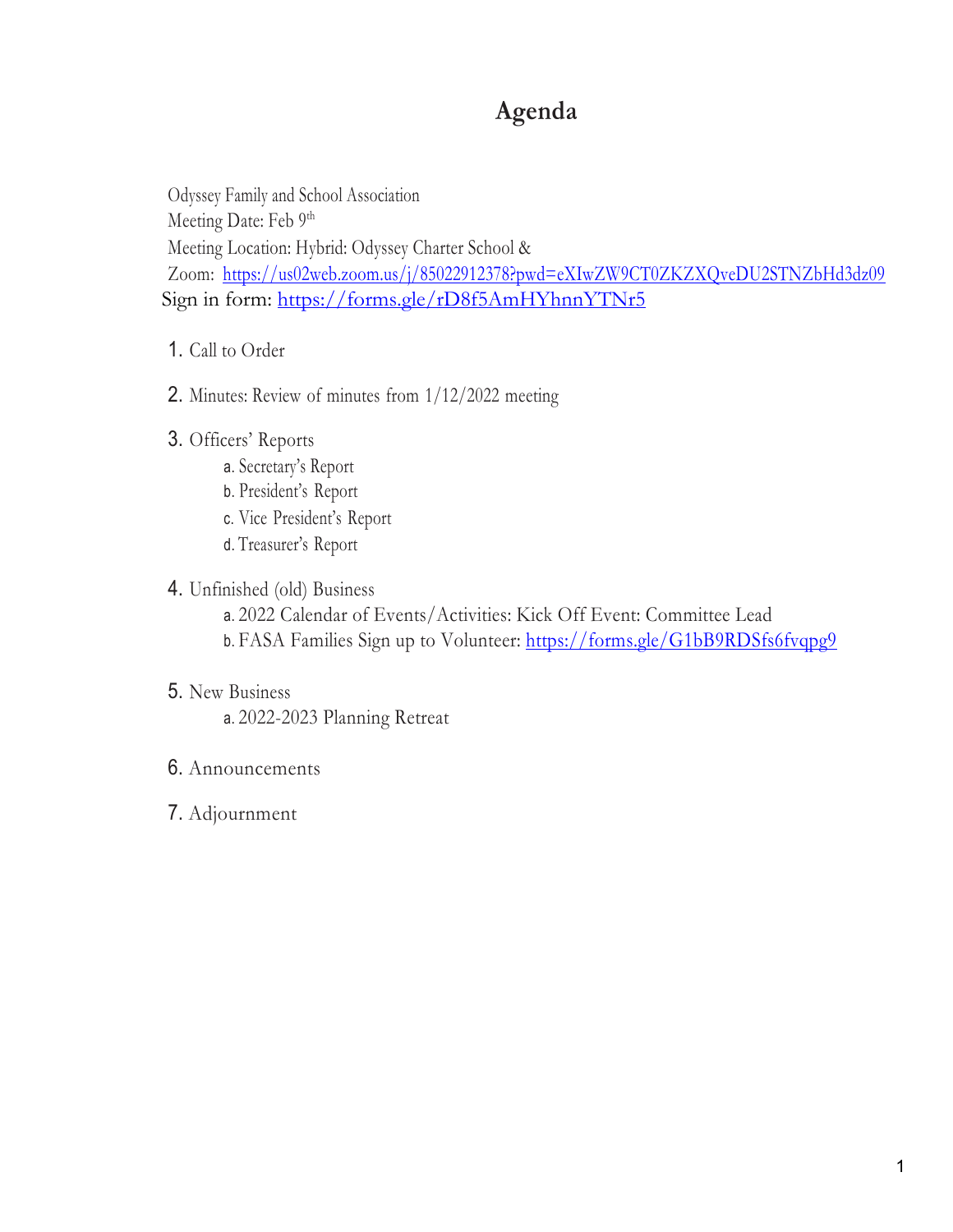# **Agenda**

Odyssey Family and School Association Meeting Date: Feb 9<sup>th</sup> Meeting Location: Hybrid: Odyssey Charter School & Zoom: https://us02web.zoom.us/j/85022912378?pwd=eXIwZW9CT0ZKZXQveDU2STNZbHd3dz09 Sign in form: https://forms.gle/rD8f5AmHYhnnYTNr5

- 1. Call to Order
- 2. Minutes: Review of minutes from 1/12/2022 meeting
- 3. Officers' Reports
	- a. Secretary's Report
	- b. President's Report
	- c. Vice President's Report
	- d. Treasurer's Report

# 4. Unfinished (old) Business

- a. 2022 Calendar of Events/Activities: Kick Off Event: Committee Lead
- b. FASA Families Sign up to Volunteer: https://forms.gle/G1bB9RDSfs6fvqpg9

## 5. New Business

- a. 2022-2023 Planning Retreat
- 6. Announcements
- 7. Adjournment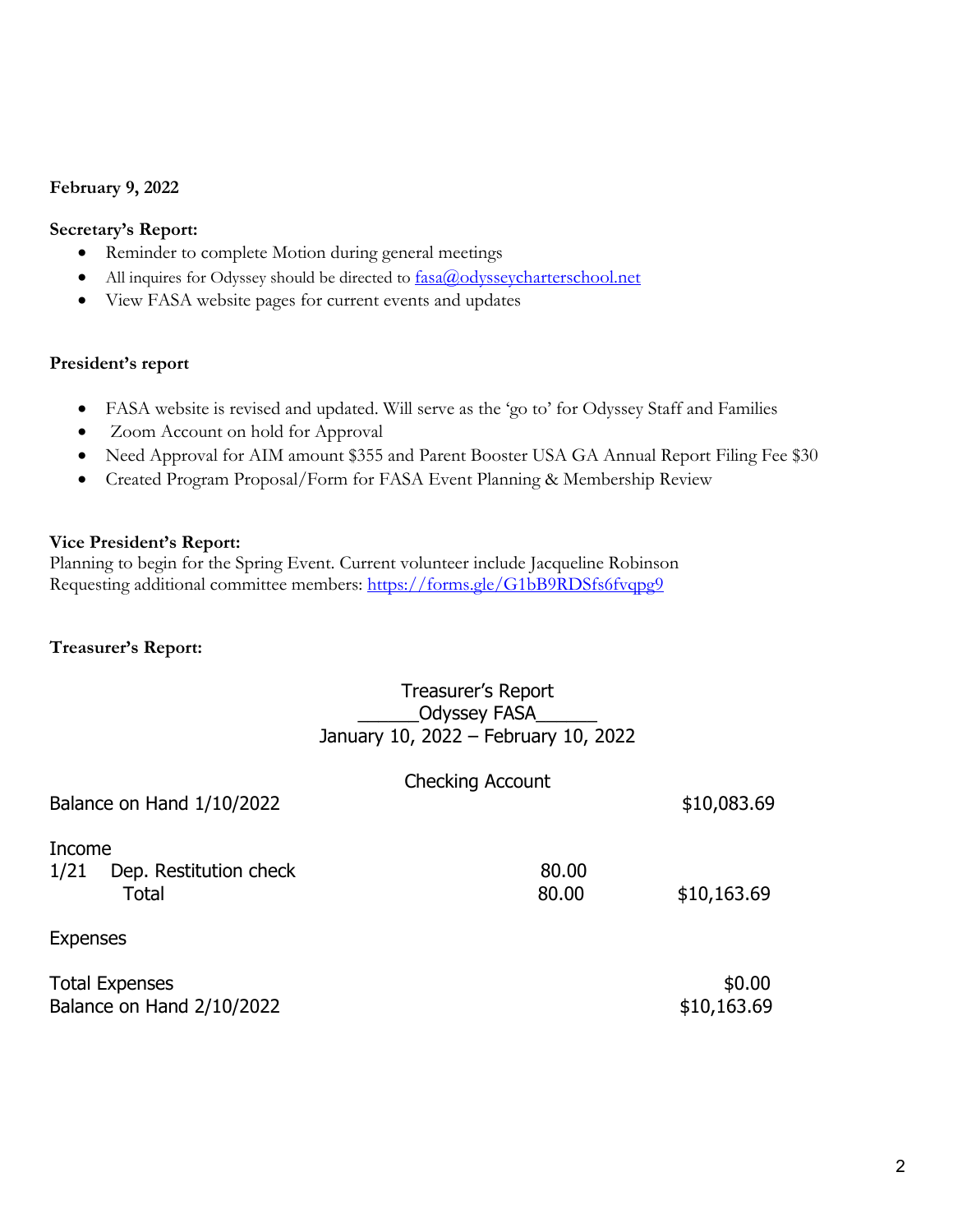### **February 9, 2022**

### **Secretary's Report:**

- Reminder to complete Motion during general meetings
- All inquires for Odyssey should be directed to  $\frac{fasa(\theta)$  odyssey charters chool.net
- View FASA website pages for current events and updates

### **President's report**

- FASA website is revised and updated. Will serve as the 'go to' for Odyssey Staff and Families
- Zoom Account on hold for Approval
- Need Approval for AIM amount \$355 and Parent Booster USA GA Annual Report Filing Fee \$30
- Created Program Proposal/Form for FASA Event Planning & Membership Review

### **Vice President's Report:**

Planning to begin for the Spring Event. Current volunteer include Jacqueline Robinson Requesting additional committee members: https://forms.gle/G1bB9RDSfs6fvqpg9

### **Treasurer's Report:**

# Treasurer's Report Odyssey FASA January 10, 2022 – February 10, 2022

| Balance on Hand 1/10/2022                          | <b>Checking Account</b> | \$10,083.69           |
|----------------------------------------------------|-------------------------|-----------------------|
| Income<br>1/21<br>Dep. Restitution check<br>Total  | 80.00<br>80.00          | \$10,163.69           |
| <b>Expenses</b>                                    |                         |                       |
| <b>Total Expenses</b><br>Balance on Hand 2/10/2022 |                         | \$0.00<br>\$10,163.69 |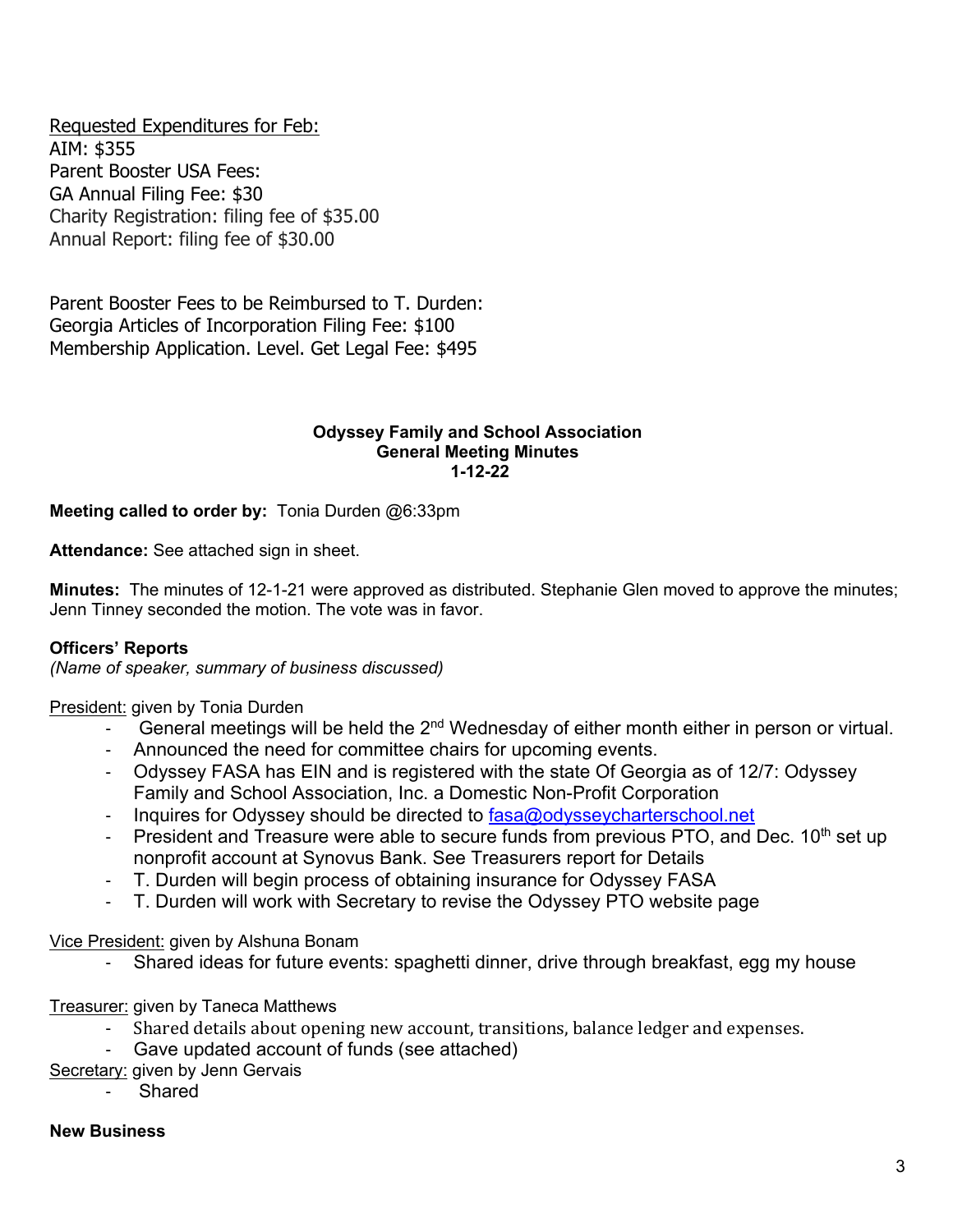Requested Expenditures for Feb: AIM: \$355 Parent Booster USA Fees: GA Annual Filing Fee: \$30 Charity Registration: filing fee of \$35.00 Annual Report: filing fee of \$30.00

Parent Booster Fees to be Reimbursed to T. Durden: Georgia Articles of Incorporation Filing Fee: \$100 Membership Application. Level. Get Legal Fee: \$495

### **Odyssey Family and School Association General Meeting Minutes 1-12-22**

**Meeting called to order by:** Tonia Durden @6:33pm

**Attendance:** See attached sign in sheet.

**Minutes:** The minutes of 12-1-21 were approved as distributed. Stephanie Glen moved to approve the minutes; Jenn Tinney seconded the motion. The vote was in favor.

### **Officers' Reports**

*(Name of speaker, summary of business discussed)*

President: given by Tonia Durden

- General meetings will be held the  $2<sup>nd</sup>$  Wednesday of either month either in person or virtual.
- Announced the need for committee chairs for upcoming events.
- Odyssey FASA has EIN and is registered with the state Of Georgia as of 12/7: Odyssey Family and School Association, Inc. a Domestic Non-Profit Corporation
- Inquires for Odyssey should be directed to fasa@odysseycharterschool.net
- President and Treasure were able to secure funds from previous PTO, and Dec.  $10<sup>th</sup>$  set up nonprofit account at Synovus Bank. See Treasurers report for Details
- T. Durden will begin process of obtaining insurance for Odyssey FASA
- T. Durden will work with Secretary to revise the Odyssey PTO website page

Vice President: given by Alshuna Bonam

- Shared ideas for future events: spaghetti dinner, drive through breakfast, egg my house

### Treasurer: given by Taneca Matthews

- Shared details about opening new account, transitions, balance ledger and expenses.
- Gave updated account of funds (see attached)
- Secretary: given by Jenn Gervais
	- Shared

#### **New Business**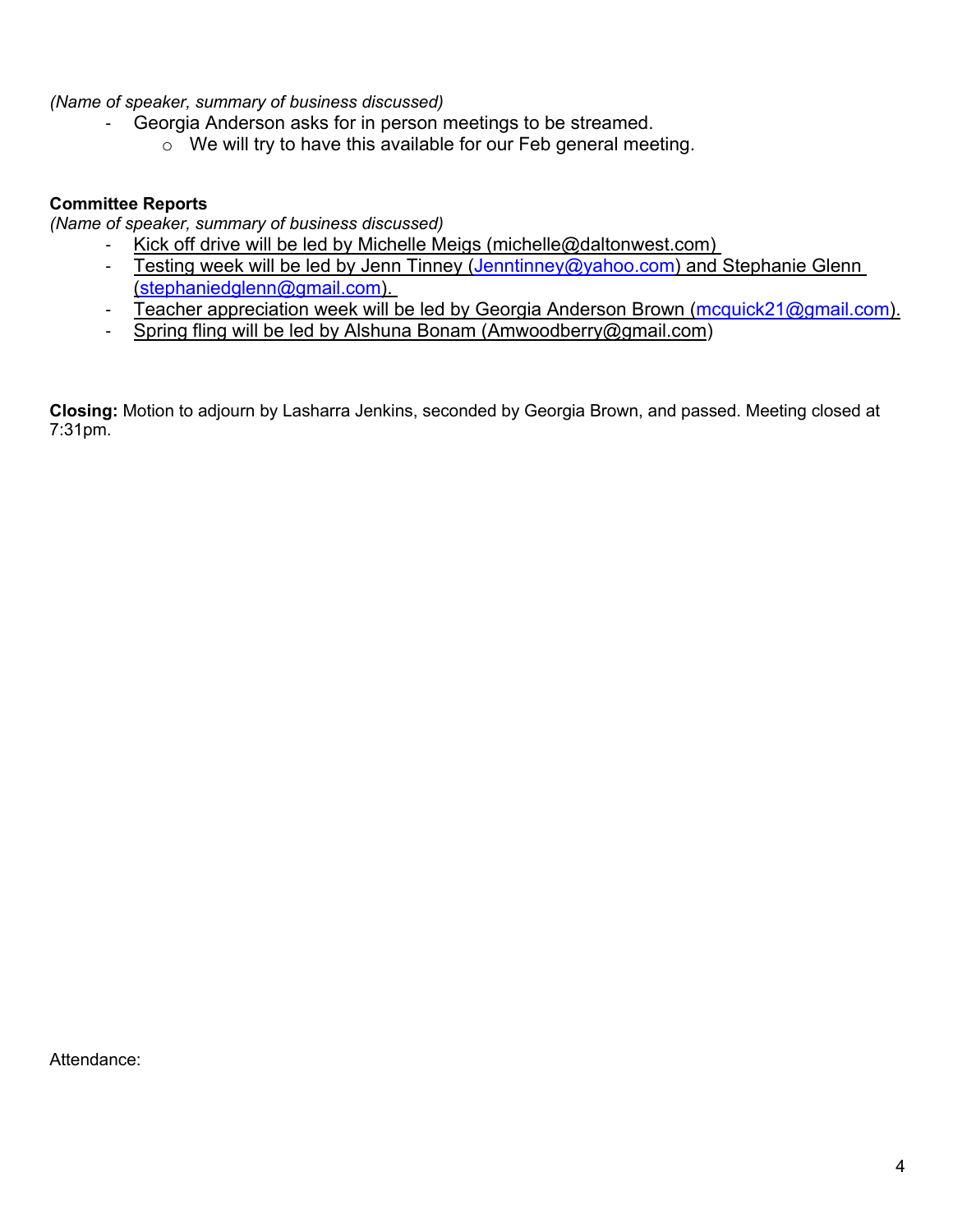*(Name of speaker, summary of business discussed)*

- Georgia Anderson asks for in person meetings to be streamed.
	- o We will try to have this available for our Feb general meeting.

## **Committee Reports**

*(Name of speaker, summary of business discussed)*

- Kick off drive will be led by Michelle Meigs (michelle@daltonwest.com)
- Testing week will be led by Jenn Tinney (Jenntinney@yahoo.com) and Stephanie Glenn (stephaniedglenn@gmail.com).
- Teacher appreciation week will be led by Georgia Anderson Brown (mcquick21@gmail.com).
- Spring fling will be led by Alshuna Bonam (Amwoodberry@gmail.com)

**Closing:** Motion to adjourn by Lasharra Jenkins, seconded by Georgia Brown, and passed. Meeting closed at 7:31pm.

Attendance: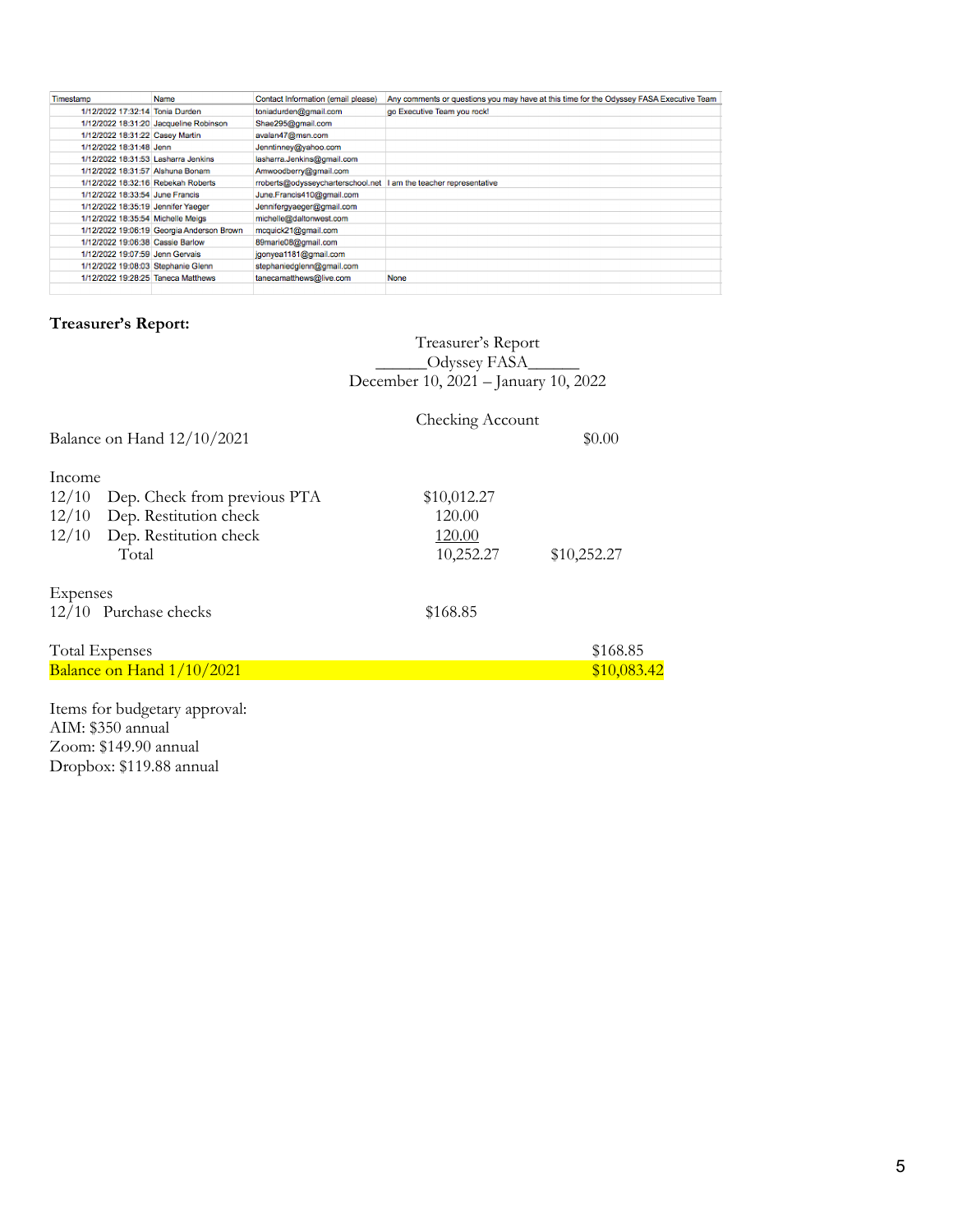| Timestamp                           | Name                                      | Contact Information (email please)                                | Any comments or questions you may have at this time for the Odyssey FASA Executive Team |
|-------------------------------------|-------------------------------------------|-------------------------------------------------------------------|-----------------------------------------------------------------------------------------|
| 1/12/2022 17:32:14 Tonia Durden     |                                           | toniadurden@gmail.com                                             | go Executive Team you rock!                                                             |
|                                     | 1/12/2022 18:31:20 Jacqueline Robinson    | Shae295@gmail.com                                                 |                                                                                         |
| 1/12/2022 18:31:22 Casev Martin     |                                           | avalan47@msn.com                                                  |                                                                                         |
| 1/12/2022 18:31:48 Jenn             |                                           | Jenntinney@yahoo.com                                              |                                                                                         |
| 1/12/2022 18:31:53 Lasharra Jenkins |                                           | lasharra.Jenkins@gmail.com                                        |                                                                                         |
| 1/12/2022 18:31:57 Alshuna Bonam    |                                           | Amwoodberry@gmail.com                                             |                                                                                         |
| 1/12/2022 18:32:16 Rebekah Roberts  |                                           | moberts@odysseycharterschool.net  I am the teacher representative |                                                                                         |
| 1/12/2022 18:33:54 June Francis     |                                           | June.Francis410@gmail.com                                         |                                                                                         |
| 1/12/2022 18:35:19 Jennifer Yaeger  |                                           | Jennifergyaeger@gmail.com                                         |                                                                                         |
| 1/12/2022 18:35:54 Michelle Meigs   |                                           | michelle@daltonwest.com                                           |                                                                                         |
|                                     | 1/12/2022 19:06:19 Georgia Anderson Brown | mcquick21@gmail.com                                               |                                                                                         |
| 1/12/2022 19:06:38 Cassie Barlow    |                                           | 89marie08@gmail.com                                               |                                                                                         |
| 1/12/2022 19:07:59 Jenn Gervais     |                                           | jgonyea1181@gmail.com                                             |                                                                                         |
| 1/12/2022 19:08:03 Stephanie Glenn  |                                           | stephaniedglenn@gmail.com                                         |                                                                                         |
| 1/12/2022 19:28:25 Taneca Matthews  |                                           | tanecamatthews@live.com                                           | None                                                                                    |
|                                     |                                           |                                                                   |                                                                                         |

# **Treasurer's Report:**

|                              | Treasurer's Report                   |  |
|------------------------------|--------------------------------------|--|
|                              | _Odyssey FASA__                      |  |
|                              | December 10, 2021 - January 10, 2022 |  |
|                              | Checking Account                     |  |
| Balance on Hand $12/10/2021$ | \$0.00                               |  |

| Income   |                              |             |             |
|----------|------------------------------|-------------|-------------|
| 12/10    | Dep. Check from previous PTA | \$10,012.27 |             |
|          | 12/10 Dep. Restitution check | 120.00      |             |
|          | 12/10 Dep. Restitution check | 120.00      |             |
|          | Total                        | 10,252.27   | \$10,252.27 |
| Expenses |                              |             |             |
|          | 12/10 Purchase checks        | \$168.85    |             |
|          | <b>Total Expenses</b>        |             | \$168.85    |
|          | Balance on Hand 1/10/2021    |             | \$10,083.42 |
|          |                              |             |             |
|          |                              |             |             |

Items for budgetary approval: AIM: \$350 annual Zoom: \$149.90 annual Dropbox: \$119.88 annual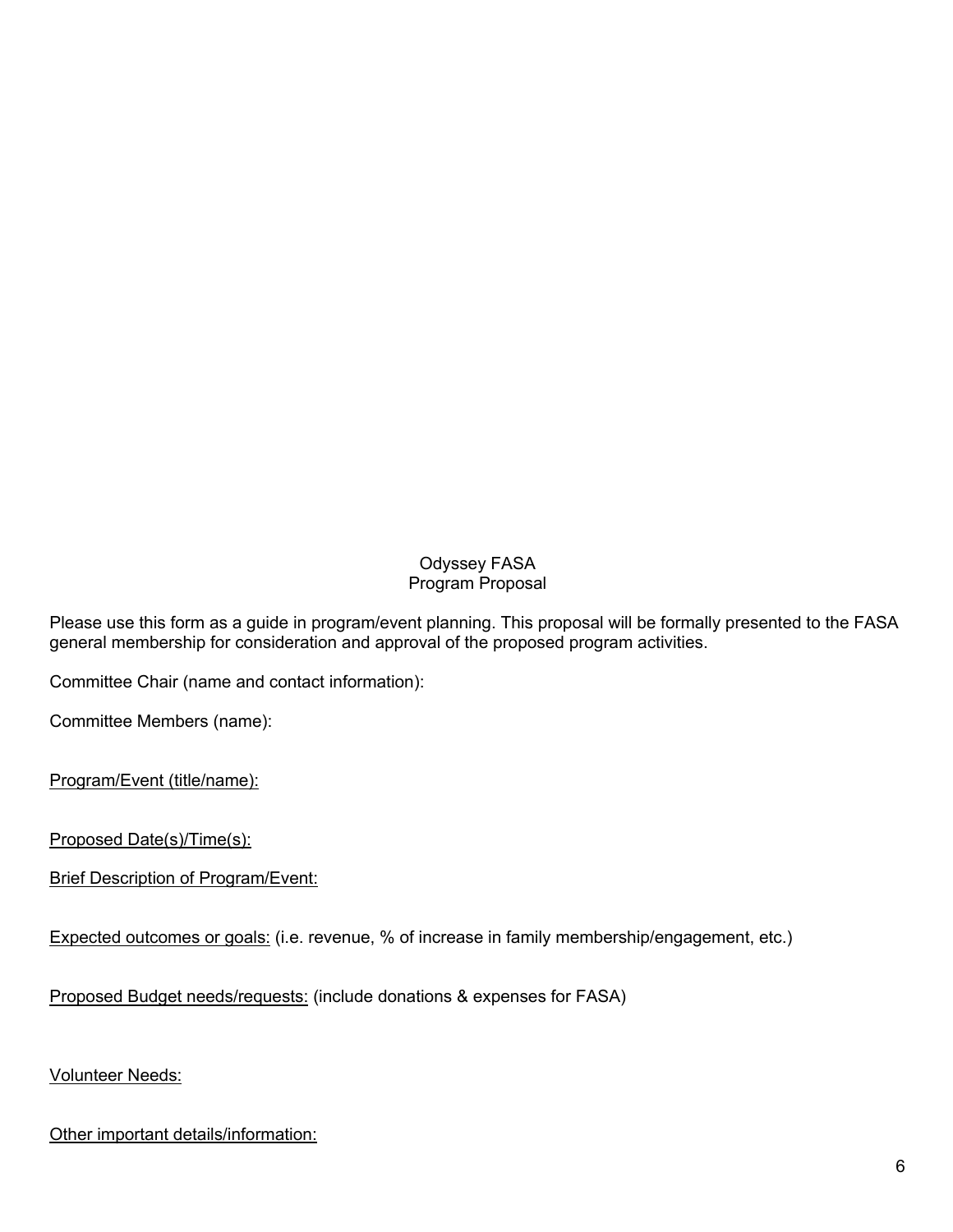# Odyssey FASA Program Proposal

Please use this form as a guide in program/event planning. This proposal will be formally presented to the FASA general membership for consideration and approval of the proposed program activities.

Committee Chair (name and contact information):

Committee Members (name):

Program/Event (title/name):

Proposed Date(s)/Time(s):

**Brief Description of Program/Event:** 

Expected outcomes or goals: (i.e. revenue, % of increase in family membership/engagement, etc.)

Proposed Budget needs/requests: (include donations & expenses for FASA)

Volunteer Needs:

Other important details/information: